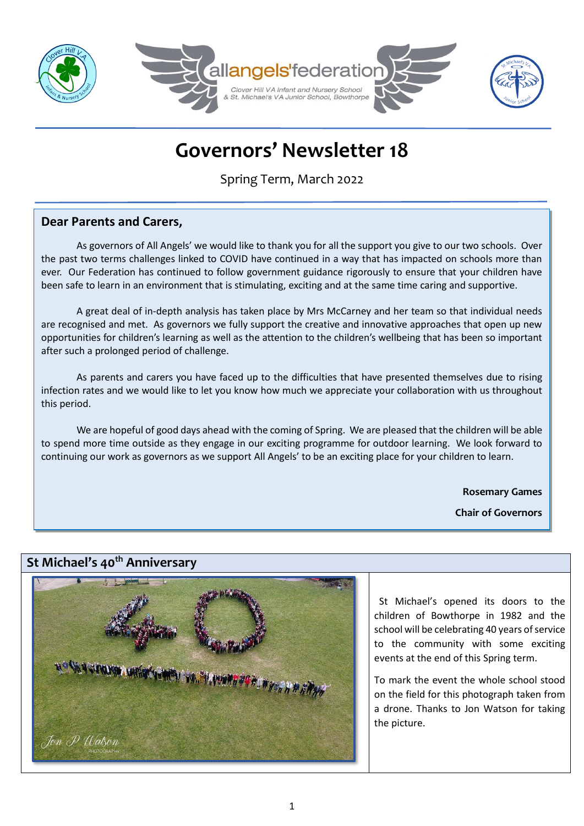

# **Governors' Newsletter 18**

Spring Term, March 2022

# **Dear Parents and Carers,**

As governors of All Angels' we would like to thank you for all the support you give to our two schools. Over the past two terms challenges linked to COVID have continued in a way that has impacted on schools more than ever. Our Federation has continued to follow government guidance rigorously to ensure that your children have been safe to learn in an environment that is stimulating, exciting and at the same time caring and supportive.

A great deal of in-depth analysis has taken place by Mrs McCarney and her team so that individual needs are recognised and met. As governors we fully support the creative and innovative approaches that open up new opportunities for children's learning as well as the attention to the children's wellbeing that has been so important after such a prolonged period of challenge.

As parents and carers you have faced up to the difficulties that have presented themselves due to rising infection rates and we would like to let you know how much we appreciate your collaboration with us throughout this period.

We are hopeful of good days ahead with the coming of Spring. We are pleased that the children will be able to spend more time outside as they engage in our exciting programme for outdoor learning. We look forward to continuing our work as governors as we support All Angels' to be an exciting place for your children to learn.

**Rosemary Games**

**Chair of Governors**

# **St Michael's 40th Anniversary**



 St Michael's opened its doors to the children of Bowthorpe in 1982 and the school will be celebrating 40 years of service to the community with some exciting events at the end of this Spring term.

To mark the event the whole school stood on the field for this photograph taken from a drone. Thanks to Jon Watson for taking the picture.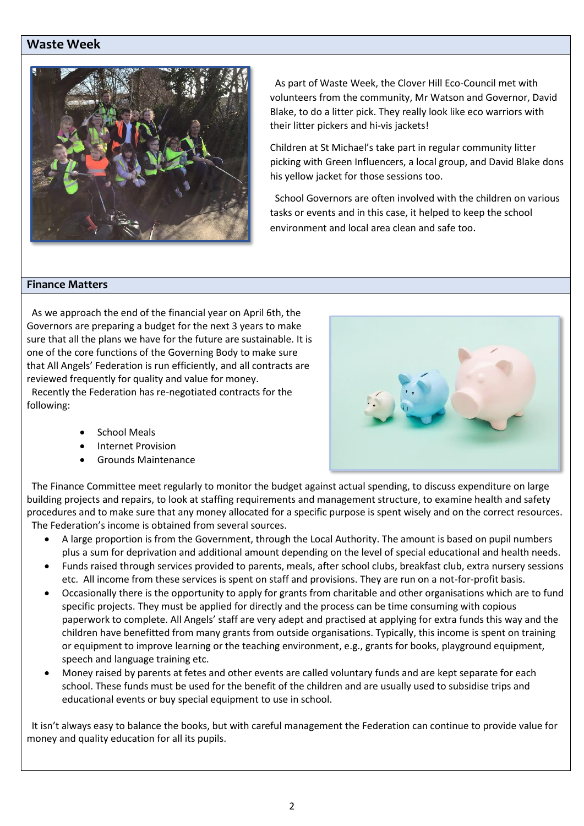## **Waste Week**



 As part of Waste Week, the Clover Hill Eco-Council met with volunteers from the community, Mr Watson and Governor, David Blake, to do a litter pick. They really look like eco warriors with their litter pickers and hi-vis jackets!

Children at St Michael's take part in regular community litter picking with Green Influencers, a local group, and David Blake dons his yellow jacket for those sessions too.

 School Governors are often involved with the children on various tasks or events and in this case, it helped to keep the school environment and local area clean and safe too.

#### **Finance Matters**

 As we approach the end of the financial year on April 6th, the Governors are preparing a budget for the next 3 years to make sure that all the plans we have for the future are sustainable. It is one of the core functions of the Governing Body to make sure that All Angels' Federation is run efficiently, and all contracts are reviewed frequently for quality and value for money.

 Recently the Federation has re-negotiated contracts for the following:

- School Meals
- Internet Provision
- Grounds Maintenance

 The Finance Committee meet regularly to monitor the budget against actual spending, to discuss expenditure on large building projects and repairs, to look at staffing requirements and management structure, to examine health and safety procedures and to make sure that any money allocated for a specific purpose is spent wisely and on the correct resources. The Federation's income is obtained from several sources.

- A large proportion is from the Government, through the Local Authority. The amount is based on pupil numbers plus a sum for deprivation and additional amount depending on the level of special educational and health needs.
- Funds raised through services provided to parents, meals, after school clubs, breakfast club, extra nursery sessions etc. All income from these services is spent on staff and provisions. They are run on a not-for-profit basis.
- Occasionally there is the opportunity to apply for grants from charitable and other organisations which are to fund specific projects. They must be applied for directly and the process can be time consuming with copious paperwork to complete. All Angels' staff are very adept and practised at applying for extra funds this way and the children have benefitted from many grants from outside organisations. Typically, this income is spent on training or equipment to improve learning or the teaching environment, e.g., grants for books, playground equipment, speech and language training etc.
- Money raised by parents at fetes and other events are called voluntary funds and are kept separate for each school. These funds must be used for the benefit of the children and are usually used to subsidise trips and educational events or buy special equipment to use in school.

 It isn't always easy to balance the books, but with careful management the Federation can continue to provide value for money and quality education for all its pupils.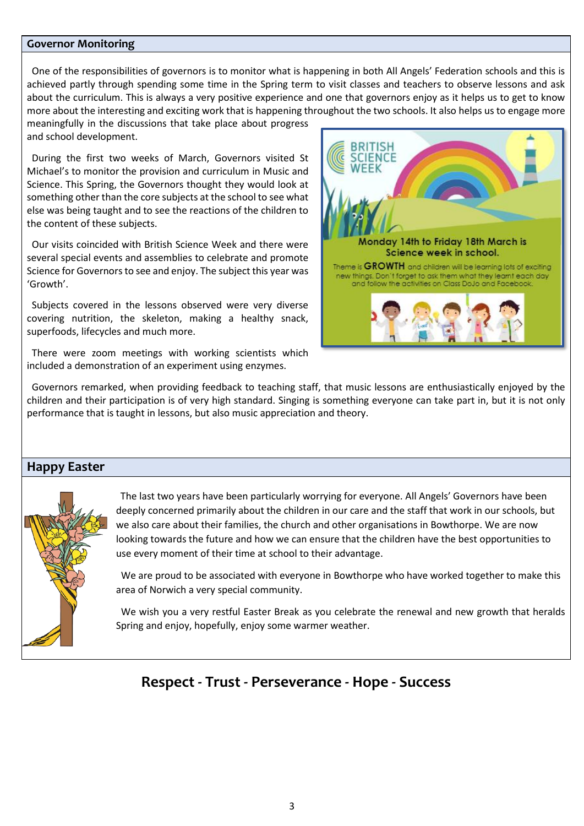#### **Governor Monitoring**

 One of the responsibilities of governors is to monitor what is happening in both All Angels' Federation schools and this is achieved partly through spending some time in the Spring term to visit classes and teachers to observe lessons and ask about the curriculum. This is always a very positive experience and one that governors enjoy as it helps us to get to know more about the interesting and exciting work that is happening throughout the two schools. It also helps us to engage more

meaningfully in the discussions that take place about progress and school development.

 During the first two weeks of March, Governors visited St Michael's to monitor the provision and curriculum in Music and Science. This Spring, the Governors thought they would look at something other than the core subjects at the school to see what else was being taught and to see the reactions of the children to the content of these subjects.

 Our visits coincided with British Science Week and there were several special events and assemblies to celebrate and promote Science for Governors to see and enjoy. The subject this year was 'Growth'.

 Subjects covered in the lessons observed were very diverse covering nutrition, the skeleton, making a healthy snack, superfoods, lifecycles and much more.

 There were zoom meetings with working scientists which included a demonstration of an experiment using enzymes.



 Governors remarked, when providing feedback to teaching staff, that music lessons are enthusiastically enjoyed by the children and their participation is of very high standard. Singing is something everyone can take part in, but it is not only performance that is taught in lessons, but also music appreciation and theory.

### **Happy Easter**



 The last two years have been particularly worrying for everyone. All Angels' Governors have been deeply concerned primarily about the children in our care and the staff that work in our schools, but we also care about their families, the church and other organisations in Bowthorpe. We are now looking towards the future and how we can ensure that the children have the best opportunities to use every moment of their time at school to their advantage.

 We are proud to be associated with everyone in Bowthorpe who have worked together to make this area of Norwich a very special community.

 We wish you a very restful Easter Break as you celebrate the renewal and new growth that heralds Spring and enjoy, hopefully, enjoy some warmer weather.

# **Respect - Trust - Perseverance - Hope - Success**